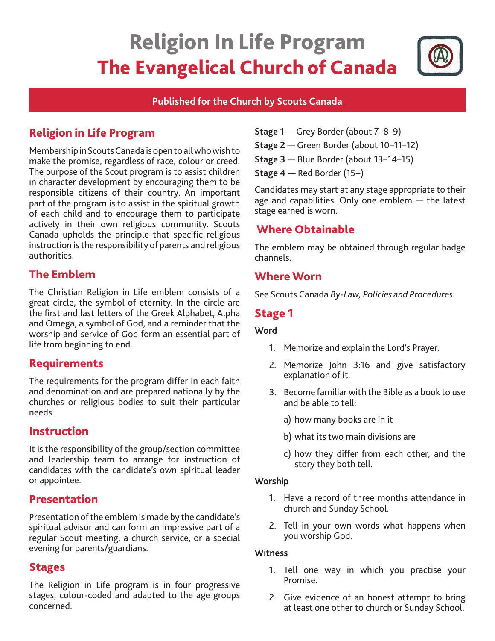# Religion In Life Program The Evangelical Church of Canada



## **Published for the Church by Scouts Canada**

# Religion in Life Program

Membership in Scouts Canada is open to all who wish to make the promise, regardless of race, colour or creed. The purpose of the Scout program is to assist children in character development by encouraging them to be responsible citizens of their country. An important part of the program is to assist in the spiritual growth of each child and to encourage them to participate actively in their own religious community. Scouts Canada upholds the principle that specific religious instruction is the responsibility of parents and religious authorities.

## The Emblem

The Christian Religion in Life emblem consists of a great circle, the symbol of eternity. In the circle are the first and last letters of the Greek Alphabet, Alpha and Omega, a symbol of God, and a reminder that the worship and service of God form an essential part of life from beginning to end.

## Requirements

The requirements for the program differ in each faith and denomination and are prepared nationally by the churches or religious bodies to suit their particular needs.

## Instruction

It is the responsibility of the group/section committee and leadership team to arrange for instruction of candidates with the candidate's own spiritual leader or appointee.

## Presentation

Presentation of the emblem is made by the candidate's spiritual advisor and can form an impressive part of a regular Scout meeting, a church service, or a special evening for parents/guardians.

## Stages

The Religion in Life program is in four progressive stages, colour-coded and adapted to the age groups concerned.

- **Stage 1** Grey Border (about 7–8–9)
- **Stage 2** Green Border (about 10–11–12)
- **Stage 3** Blue Border (about 13–14–15)
- **Stage 4** Red Border (15+)

Candidates may start at any stage appropriate to their age and capabilities. Only one emblem — the latest stage earned is worn.

# Where Obtainable

The emblem may be obtained through regular badge channels.

## Where Worn

See Scouts Canada *By-Law, Policies and Procedures.* 

## Stage 1

### **Word**

- 1. Memorize and explain the Lord's Prayer.
- 2. Memorize John 3:16 and give satisfactory explanation of it.
- 3. Become familiar with the Bible as a book to use and be able to tell:
	- a) how many books are in it
	- b) what its two main divisions are
	- c) how they differ from each other, and the story they both tell.

### **Worship**

- 1. Have a record of three months attendance in church and Sunday School.
- 2. Tell in your own words what happens when you worship God.

### **Witness**

- 1. Tell one way in which you practise your Promise.
- 2. Give evidence of an honest attempt to bring at least one other to church or Sunday School.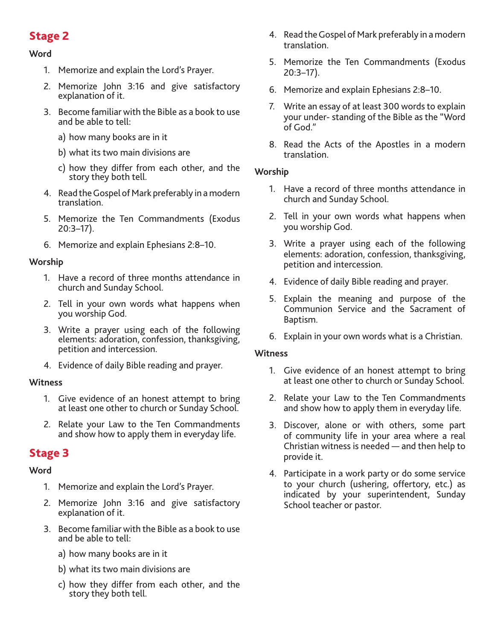# Stage 2

## **Word**

- 1. Memorize and explain the Lord's Prayer.
- 2. Memorize John 3:16 and give satisfactory explanation of it.
- 3. Become familiar with the Bible as a book to use and be able to tell:
	- a) how many books are in it
	- b) what its two main divisions are
	- c) how they differ from each other, and the story they both tell.
- 4. Read the Gospel of Mark preferably in a modern translation.
- 5. Memorize the Ten Commandments (Exodus 20:3–17).
- 6. Memorize and explain Ephesians 2:8–10.

## **Worship**

- 1. Have a record of three months attendance in church and Sunday School.
- 2. Tell in your own words what happens when you worship God.
- 3. Write a prayer using each of the following elements: adoration, confession, thanksgiving, petition and intercession.
- 4. Evidence of daily Bible reading and prayer.

### **Witness**

- 1. Give evidence of an honest attempt to bring at least one other to church or Sunday School.
- 2. Relate your Law to the Ten Commandments and show how to apply them in everyday life.

## Stage 3

### **Word**

- 1. Memorize and explain the Lord's Prayer.
- 2. Memorize John 3:16 and give satisfactory explanation of it.
- 3. Become familiar with the Bible as a book to use and be able to tell:
	- a) how many books are in it
	- b) what its two main divisions are
	- c) how they differ from each other, and the story they both tell.
- 4. Read the Gospel of Mark preferably in a modern translation.
- 5. Memorize the Ten Commandments (Exodus 20:3–17).
- 6. Memorize and explain Ephesians 2:8–10.
- 7. Write an essay of at least 300 words to explain your under- standing of the Bible as the "Word of God."
- 8. Read the Acts of the Apostles in a modern translation.

#### **Worship**

- 1. Have a record of three months attendance in church and Sunday School.
- 2. Tell in your own words what happens when you worship God.
- 3. Write a prayer using each of the following elements: adoration, confession, thanksgiving, petition and intercession.
- 4. Evidence of daily Bible reading and prayer.
- 5. Explain the meaning and purpose of the Communion Service and the Sacrament of Baptism.
- 6. Explain in your own words what is a Christian.

#### **Witness**

- 1. Give evidence of an honest attempt to bring at least one other to church or Sunday School.
- 2. Relate your Law to the Ten Commandments and show how to apply them in everyday life.
- 3. Discover, alone or with others, some part of community life in your area where a real Christian witness is needed — and then help to provide it.
- 4. Participate in a work party or do some service to your church (ushering, offertory, etc.) as indicated by your superintendent, Sunday School teacher or pastor.